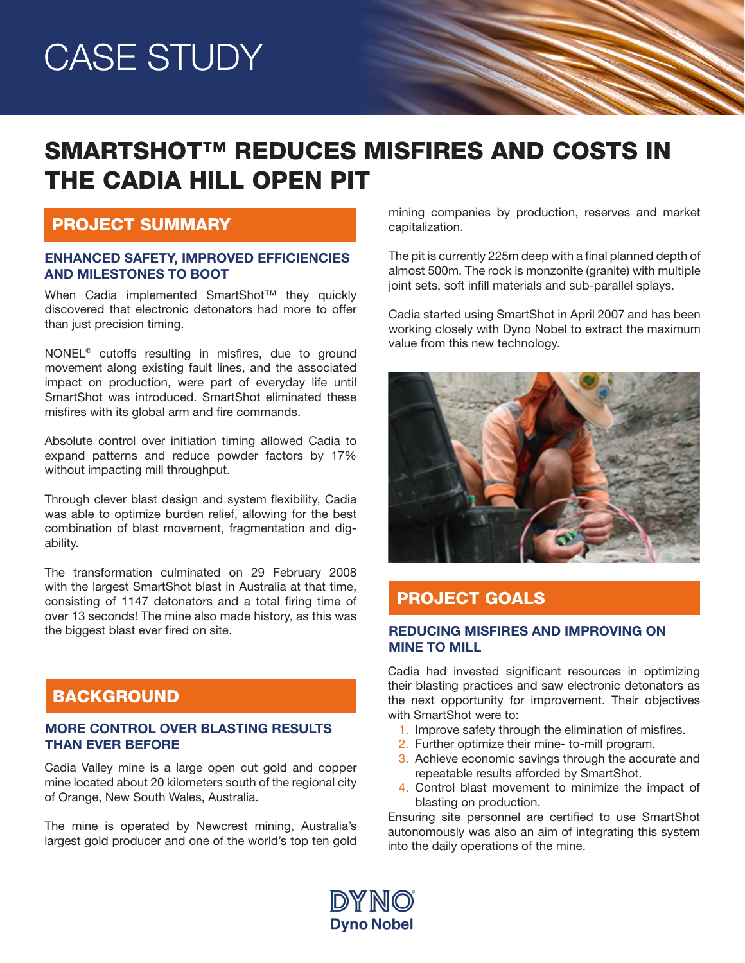# CASE STUDY

# SMARTSHOT™ REDUCES MISFIRES AND COSTS IN THE CADIA HILL OPEN PIT

### PROJECT SUMMARY

#### ENHANCED SAFETY, IMPROVED EFFICIENCIES AND MILESTONES TO BOOT

When Cadia implemented SmartShot™ they quickly discovered that electronic detonators had more to offer than just precision timing.

NONEL® cutoffs resulting in misfires, due to ground movement along existing fault lines, and the associated impact on production, were part of everyday life until SmartShot was introduced. SmartShot eliminated these misfires with its global arm and fire commands.

Absolute control over initiation timing allowed Cadia to expand patterns and reduce powder factors by 17% without impacting mill throughput.

Through clever blast design and system flexibility, Cadia was able to optimize burden relief, allowing for the best combination of blast movement, fragmentation and digability.

The transformation culminated on 29 February 2008 with the largest SmartShot blast in Australia at that time, consisting of 1147 detonators and a total firing time of over 13 seconds! The mine also made history, as this was the biggest blast ever fired on site.

# **BACKGROUND**

#### MORE CONTROL OVER BLASTING RESULTS THAN EVER BEFORE

Cadia Valley mine is a large open cut gold and copper mine located about 20 kilometers south of the regional city of Orange, New South Wales, Australia.

The mine is operated by Newcrest mining, Australia's largest gold producer and one of the world's top ten gold

mining companies by production, reserves and market capitalization.

The pit is currently 225m deep with a final planned depth of almost 500m. The rock is monzonite (granite) with multiple joint sets, soft infill materials and sub-parallel splays.

Cadia started using SmartShot in April 2007 and has been working closely with Dyno Nobel to extract the maximum value from this new technology.



### PROJECT GOALS

#### REDUCING MISFIRES AND IMPROVING ON MINE TO MILL

Cadia had invested significant resources in optimizing their blasting practices and saw electronic detonators as the next opportunity for improvement. Their objectives with SmartShot were to:

- 1. Improve safety through the elimination of misfires.
- 2. Further optimize their mine- to-mill program.
- 3. Achieve economic savings through the accurate and repeatable results afforded by SmartShot.
- 4. Control blast movement to minimize the impact of blasting on production.

Ensuring site personnel are certified to use SmartShot autonomously was also an aim of integrating this system into the daily operations of the mine.